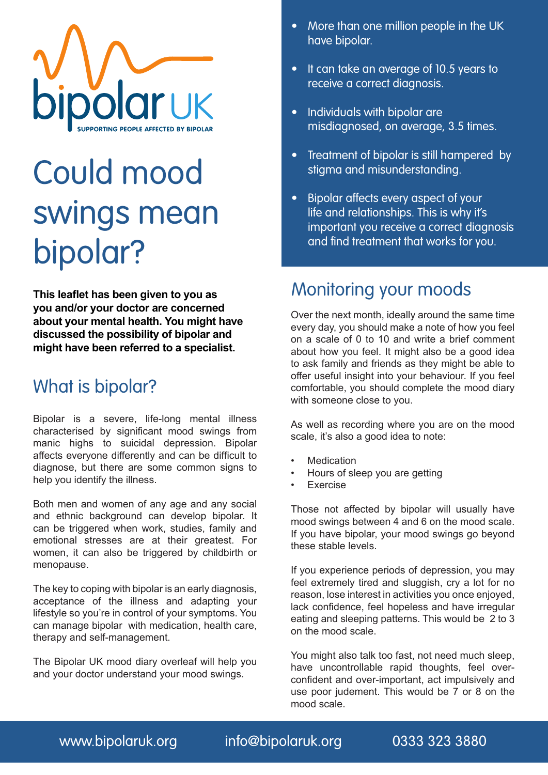

## Could mood swings mean bipolar?

**This leaflet has been given to you as you and/or your doctor are concerned about your mental health. You might have discussed the possibility of bipolar and might have been referred to a specialist.**

## What is bipolar?

Bipolar is a severe, life-long mental illness characterised by significant mood swings from manic highs to suicidal depression. Bipolar affects everyone differently and can be difficult to diagnose, but there are some common signs to help you identify the illness.

Both men and women of any age and any social and ethnic background can develop bipolar. It can be triggered when work, studies, family and emotional stresses are at their greatest. For women, it can also be triggered by childbirth or menopause.

The key to coping with bipolar is an early diagnosis, acceptance of the illness and adapting your lifestyle so you're in control of your symptoms. You can manage bipolar with medication, health care, therapy and self-management.

The Bipolar UK mood diary overleaf will help you and your doctor understand your mood swings.

- More than one million people in the UK have bipolar.
- It can take an average of 10.5 years to receive a correct diagnosis.
- Individuals with bipolar are misdiagnosed, on average, 3.5 times.
- Treatment of bipolar is still hampered by stigma and misunderstanding.
- Bipolar affects every aspect of your life and relationships. This is why it's important you receive a correct diagnosis and find treatment that works for you.

## Monitoring your moods

Over the next month, ideally around the same time every day, you should make a note of how you feel on a scale of 0 to 10 and write a brief comment about how you feel. It might also be a good idea to ask family and friends as they might be able to offer useful insight into your behaviour. If you feel comfortable, you should complete the mood diary with someone close to you.

As well as recording where you are on the mood scale, it's also a good idea to note:

- **Medication**
- Hours of sleep you are getting
- **Exercise**

Those not affected by bipolar will usually have mood swings between 4 and 6 on the mood scale. If you have bipolar, your mood swings go beyond these stable levels.

If you experience periods of depression, you may feel extremely tired and sluggish, cry a lot for no reason, lose interest in activities you once enjoyed, lack confidence, feel hopeless and have irregular eating and sleeping patterns. This would be 2 to 3 on the mood scale.

You might also talk too fast, not need much sleep, have uncontrollable rapid thoughts, feel overconfident and over-important, act impulsively and use poor judement. This would be 7 or 8 on the mood scale.